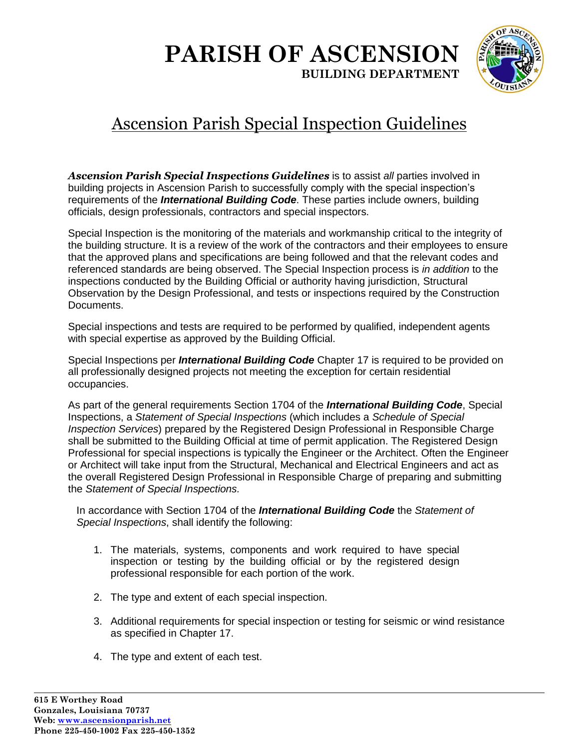

# Ascension Parish Special Inspection Guidelines

Ascension Parish Special Inspections Guidelines is to assist all parties involved in building projects in Ascension Parish to successfully comply with the special inspection's requirements of the *International Building Code*. These parties include owners, building officials, design professionals, contractors and special inspectors.

Special Inspection is the monitoring of the materials and workmanship critical to the integrity of the building structure. It is a review of the work of the contractors and their employees to ensure that the approved plans and specifications are being followed and that the relevant codes and referenced standards are being observed. The Special Inspection process is *in addition* to the inspections conducted by the Building Official or authority having jurisdiction, Structural Observation by the Design Professional, and tests or inspections required by the Construction Documents.

Special inspections and tests are required to be performed by qualified, independent agents with special expertise as approved by the Building Official.

Special Inspections per *International Building Code* Chapter 17 is required to be provided on all professionally designed projects not meeting the exception for certain residential occupancies.

As part of the general requirements Section 1704 of the *International Building Code*, Special Inspections, a *Statement of Special Inspections* (which includes a *Schedule of Special Inspection Services*) prepared by the Registered Design Professional in Responsible Charge shall be submitted to the Building Official at time of permit application. The Registered Design Professional for special inspections is typically the Engineer or the Architect. Often the Engineer or Architect will take input from the Structural, Mechanical and Electrical Engineers and act as the overall Registered Design Professional in Responsible Charge of preparing and submitting the *Statement of Special Inspections.*

In accordance with Section 1704 of the *International Building Code* the *Statement of Special Inspections*, shall identify the following:

- 1. The materials, systems, components and work required to have special inspection or testing by the building official or by the registered design professional responsible for each portion of the work.
- 2. The type and extent of each special inspection.
- 3. Additional requirements for special inspection or testing for seismic or wind resistance as specified in Chapter 17.
- 4. The type and extent of each test.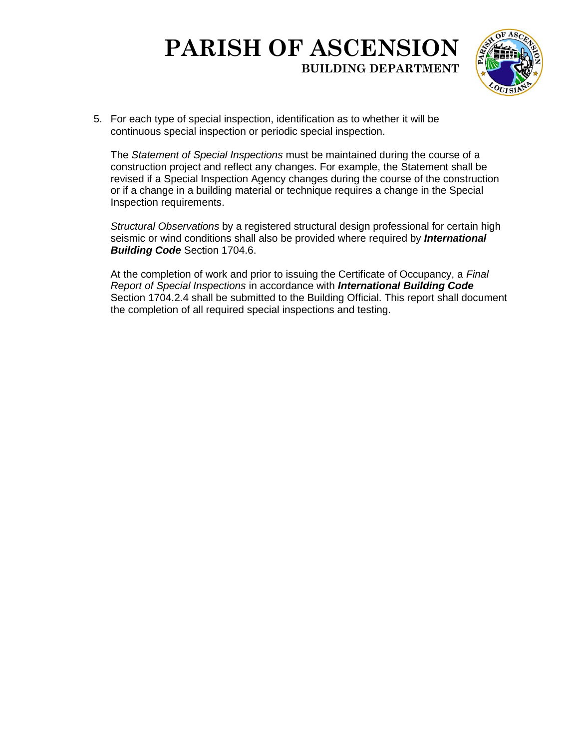

5. For each type of special inspection, identification as to whether it will be continuous special inspection or periodic special inspection.

The *Statement of Special Inspections* must be maintained during the course of a construction project and reflect any changes. For example, the Statement shall be revised if a Special Inspection Agency changes during the course of the construction or if a change in a building material or technique requires a change in the Special Inspection requirements.

*Structural Observations* by a registered structural design professional for certain high seismic or wind conditions shall also be provided where required by *International Building Code* Section 1704.6.

At the completion of work and prior to issuing the Certificate of Occupancy, a *Final Report of Special Inspections* in accordance with *International Building Code* Section 1704.2.4 shall be submitted to the Building Official. This report shall document the completion of all required special inspections and testing.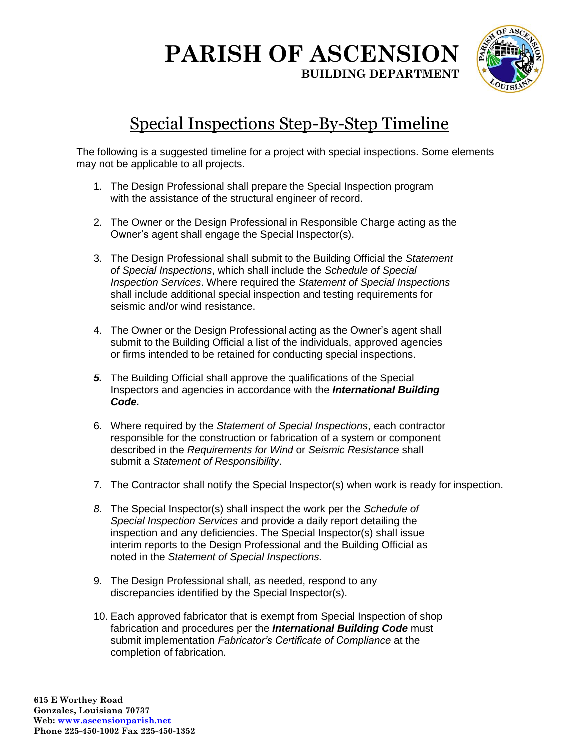

# Special Inspections Step-By-Step Timeline

The following is a suggested timeline for a project with special inspections. Some elements may not be applicable to all projects.

- 1. The Design Professional shall prepare the Special Inspection program with the assistance of the structural engineer of record.
- 2. The Owner or the Design Professional in Responsible Charge acting as the Owner's agent shall engage the Special Inspector(s).
- 3. The Design Professional shall submit to the Building Official the *Statement of Special Inspections*, which shall include the *Schedule of Special Inspection Services*. Where required the *Statement of Special Inspections*  shall include additional special inspection and testing requirements for seismic and/or wind resistance.
- 4. The Owner or the Design Professional acting as the Owner's agent shall submit to the Building Official a list of the individuals, approved agencies or firms intended to be retained for conducting special inspections.
- *5.* The Building Official shall approve the qualifications of the Special Inspectors and agencies in accordance with the *International Building Code.*
- 6. Where required by the *Statement of Special Inspections*, each contractor responsible for the construction or fabrication of a system or component described in the *Requirements for Wind* or *Seismic Resistance* shall submit a *Statement of Responsibility*.
- 7. The Contractor shall notify the Special Inspector(s) when work is ready for inspection.
- *8.* The Special Inspector(s) shall inspect the work per the *Schedule of Special Inspection Services* and provide a daily report detailing the inspection and any deficiencies. The Special Inspector(s) shall issue interim reports to the Design Professional and the Building Official as noted in the *Statement of Special Inspections.*
- 9. The Design Professional shall, as needed, respond to any discrepancies identified by the Special Inspector(s).
- 10. Each approved fabricator that is exempt from Special Inspection of shop fabrication and procedures per the *International Building Code* must submit implementation *Fabricator's Certificate of Compliance* at the completion of fabrication.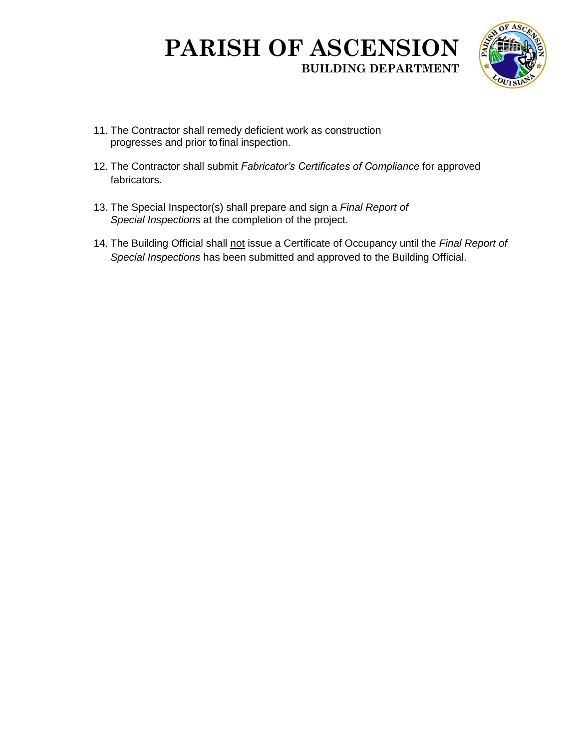

- 11. The Contractor shall remedy deficient work as construction progresses and prior to final inspection.
- 12. The Contractor shall submit *Fabricator's Certificates of Compliance* for approved fabricators.
- 13. The Special Inspector(s) shall prepare and sign a *Final Report of Special Inspection*s at the completion of the project.
- 14. The Building Official shall not issue a Certificate of Occupancy until the *Final Report of Special Inspections* has been submitted and approved to the Building Official.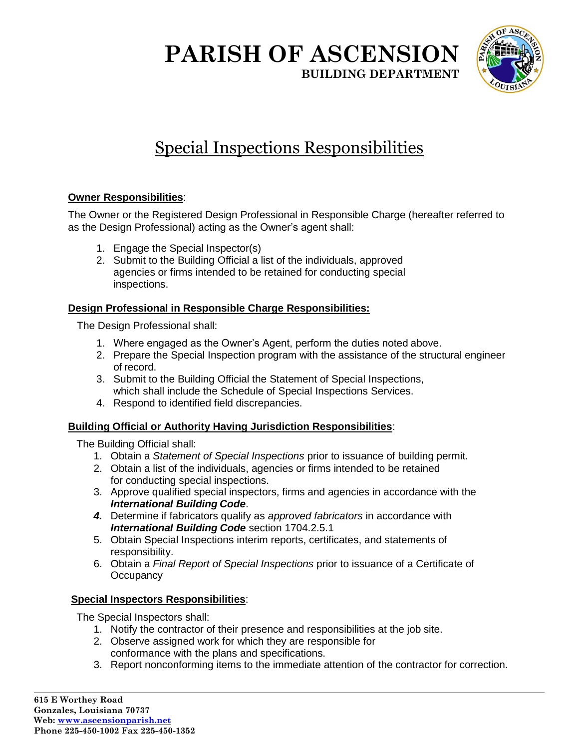

# Special Inspections Responsibilities

#### **Owner Responsibilities**:

The Owner or the Registered Design Professional in Responsible Charge (hereafter referred to as the Design Professional) acting as the Owner's agent shall:

- 1. Engage the Special Inspector(s)
- 2. Submit to the Building Official a list of the individuals, approved agencies or firms intended to be retained for conducting special inspections.

#### **Design Professional in Responsible Charge Responsibilities:**

The Design Professional shall:

- 1. Where engaged as the Owner's Agent, perform the duties noted above.
- 2. Prepare the Special Inspection program with the assistance of the structural engineer of record.
- 3. Submit to the Building Official the Statement of Special Inspections, which shall include the Schedule of Special Inspections Services.
- 4. Respond to identified field discrepancies.

#### **Building Official or Authority Having Jurisdiction Responsibilities**:

The Building Official shall:

- 1. Obtain a *Statement of Special Inspections* prior to issuance of building permit.
- 2. Obtain a list of the individuals, agencies or firms intended to be retained for conducting special inspections.
- 3. Approve qualified special inspectors, firms and agencies in accordance with the *International Building Code*.
- *4.* Determine if fabricators qualify as *approved fabricators* in accordance with *International Building Code* section 1704.2.5.1
- 5. Obtain Special Inspections interim reports, certificates, and statements of responsibility.
- 6. Obtain a *Final Report of Special Inspections* prior to issuance of a Certificate of **Occupancy**

#### **Special Inspectors Responsibilities**:

The Special Inspectors shall:

- 1. Notify the contractor of their presence and responsibilities at the job site.
- 2. Observe assigned work for which they are responsible for conformance with the plans and specifications.
- 3. Report nonconforming items to the immediate attention of the contractor for correction.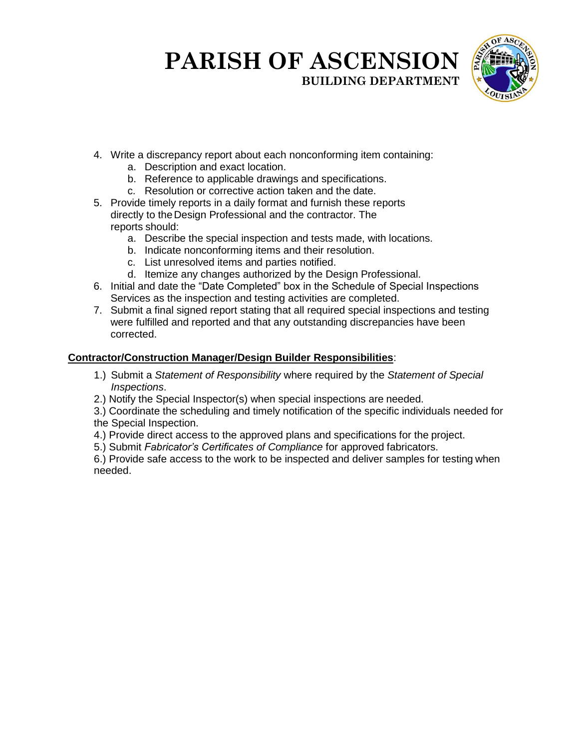

- 4. Write a discrepancy report about each nonconforming item containing:
	- a. Description and exact location.
	- b. Reference to applicable drawings and specifications.
	- c. Resolution or corrective action taken and the date.
- 5. Provide timely reports in a daily format and furnish these reports directly to theDesign Professional and the contractor. The reports should:
	- a. Describe the special inspection and tests made, with locations.
	- b. Indicate nonconforming items and their resolution.
	- c. List unresolved items and parties notified.
	- d. Itemize any changes authorized by the Design Professional.
- 6. Initial and date the "Date Completed" box in the Schedule of Special Inspections Services as the inspection and testing activities are completed.
- 7. Submit a final signed report stating that all required special inspections and testing were fulfilled and reported and that any outstanding discrepancies have been corrected.

#### **Contractor/Construction Manager/Design Builder Responsibilities**:

- 1.) Submit a *Statement of Responsibility* where required by the *Statement of Special Inspections*.
- 2.) Notify the Special Inspector(s) when special inspections are needed.

3.) Coordinate the scheduling and timely notification of the specific individuals needed for the Special Inspection.

- 4.) Provide direct access to the approved plans and specifications for the project.
- 5.) Submit *Fabricator's Certificates of Compliance* for approved fabricators.

6.) Provide safe access to the work to be inspected and deliver samples for testing when needed.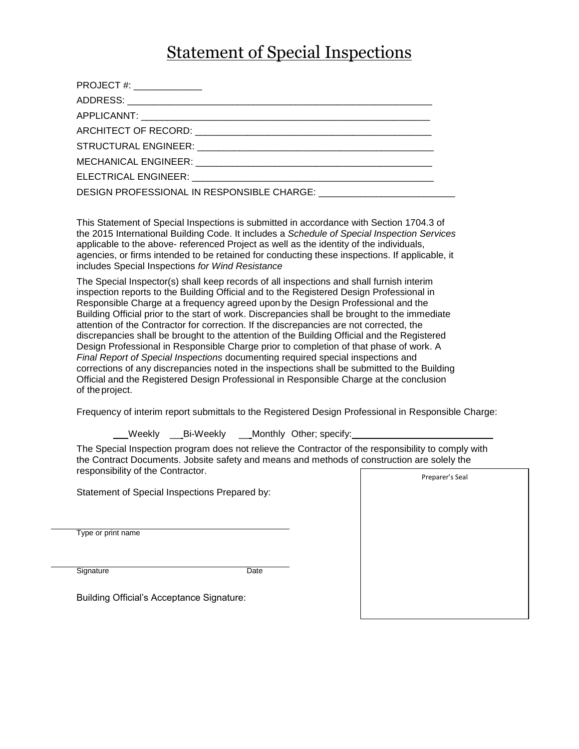### Statement of Special Inspections

| PROJECT #: ________________ |  |
|-----------------------------|--|
|                             |  |
|                             |  |
|                             |  |
|                             |  |
|                             |  |
|                             |  |
|                             |  |

This Statement of Special Inspections is submitted in accordance with Section 1704.3 of the 2015 International Building Code. It includes a *Schedule of Special Inspection Services*  applicable to the above- referenced Project as well as the identity of the individuals, agencies, or firms intended to be retained for conducting these inspections. If applicable, it includes Special Inspections *for Wind Resistance*

The Special Inspector(s) shall keep records of all inspections and shall furnish interim inspection reports to the Building Official and to the Registered Design Professional in Responsible Charge at a frequency agreed upon by the Design Professional and the Building Official prior to the start of work. Discrepancies shall be brought to the immediate attention of the Contractor for correction. If the discrepancies are not corrected, the discrepancies shall be brought to the attention of the Building Official and the Registered Design Professional in Responsible Charge prior to completion of that phase of work. A *Final Report of Special Inspections* documenting required special inspections and corrections of any discrepancies noted in the inspections shall be submitted to the Building Official and the Registered Design Professional in Responsible Charge at the conclusion of theproject.

Frequency of interim report submittals to the Registered Design Professional in Responsible Charge:

Weekly Bi-Weekly Monthly Other; specify:

The Special Inspection program does not relieve the Contractor of the responsibility to comply with the Contract Documents. Jobsite safety and means and methods of construction are solely the responsibility of the Contractor. Preparer's Seal

Statement of Special Inspections Prepared by:

Type or print name

Signature Date

Building Official's Acceptance Signature: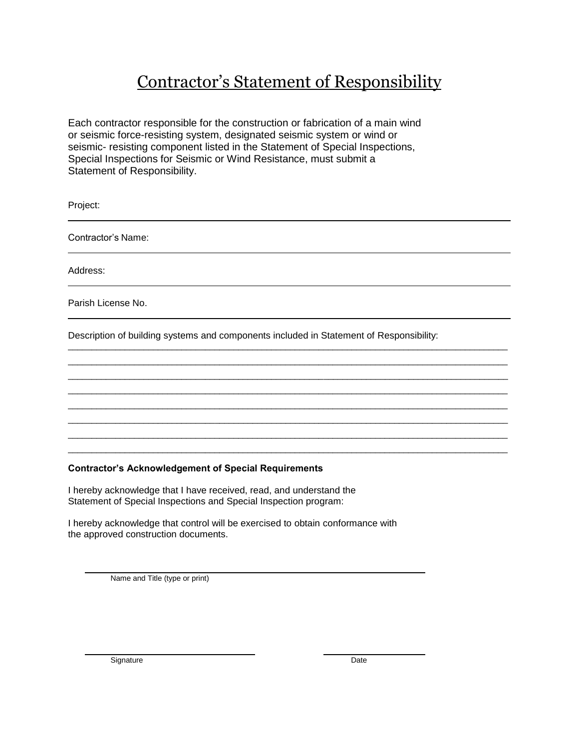## Contractor's Statement of Responsibility

Each contractor responsible for the construction or fabrication of a main wind or seismic force-resisting system, designated seismic system or wind or seismic- resisting component listed in the Statement of Special Inspections, Special Inspections for Seismic or Wind Resistance, must submit a Statement of Responsibility.

Project:

Contractor's Name:

Address:

Parish License No.

Description of building systems and components included in Statement of Responsibility:

 $\overline{a}$  , and the state of the state of the state of the state of the state of the state of the state of the state of the state of the state of the state of the state of the state of the state of the state of the state o  $\overline{a}$  , and the state of the state of the state of the state of the state of the state of the state of the state of the state of the state of the state of the state of the state of the state of the state of the state o  $\overline{a}$  , and the state of the state of the state of the state of the state of the state of the state of the state of the state of the state of the state of the state of the state of the state of the state of the state o  $\overline{a}$  , and the state of the state of the state of the state of the state of the state of the state of the state of the state of the state of the state of the state of the state of the state of the state of the state o  $\overline{a}$  , and the state of the state of the state of the state of the state of the state of the state of the state of the state of the state of the state of the state of the state of the state of the state of the state o  $\overline{a}$  , and the state of the state of the state of the state of the state of the state of the state of the state of the state of the state of the state of the state of the state of the state of the state of the state o  $\overline{a}$  , and the state of the state of the state of the state of the state of the state of the state of the state of the state of the state of the state of the state of the state of the state of the state of the state o  $\overline{a}$  , and the state of the state of the state of the state of the state of the state of the state of the state of the state of the state of the state of the state of the state of the state of the state of the state o

#### **Contractor's Acknowledgement of Special Requirements**

I hereby acknowledge that I have received, read, and understand the Statement of Special Inspections and Special Inspection program:

I hereby acknowledge that control will be exercised to obtain conformance with the approved construction documents.

Name and Title (type or print)

Signature Date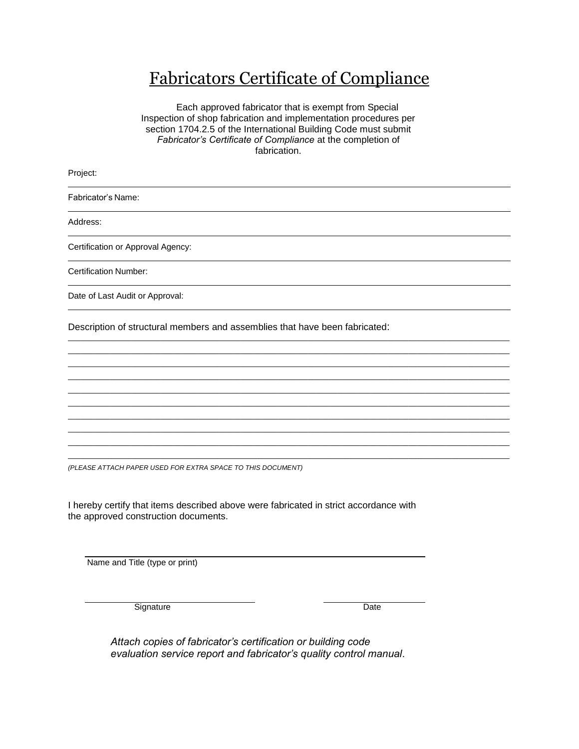### Fabricators Certificate of Compliance

 Each approved fabricator that is exempt from Special Inspection of shop fabrication and implementation procedures per section 1704.2.5 of the International Building Code must submit *Fabricator's Certificate of Compliance* at the completion of fabrication.

| Project:                                                                    |
|-----------------------------------------------------------------------------|
| Fabricator's Name:                                                          |
| Address:                                                                    |
| Certification or Approval Agency:                                           |
| <b>Certification Number:</b>                                                |
| Date of Last Audit or Approval:                                             |
| Description of structural members and assemblies that have been fabricated: |
|                                                                             |
|                                                                             |
|                                                                             |
|                                                                             |
|                                                                             |
|                                                                             |
|                                                                             |

\_\_\_\_\_\_\_\_\_\_\_\_\_\_\_\_\_\_\_\_\_\_\_\_\_\_\_\_\_\_\_\_\_\_\_\_\_\_\_\_\_\_\_\_\_\_\_\_\_\_\_\_\_\_\_\_\_\_\_\_\_\_\_\_\_\_\_\_\_\_\_\_\_\_\_\_\_\_\_\_\_\_\_\_\_\_\_\_\_\_\_\_\_\_\_\_\_\_\_\_\_\_\_\_\_

*(PLEASE ATTACH PAPER USED FOR EXTRA SPACE TO THIS DOCUMENT)*

I hereby certify that items described above were fabricated in strict accordance with the approved construction documents.

Name and Title (type or print)

Signature Date

*Attach copies of fabricator's certification or building code evaluation service report and fabricator's quality control manual*.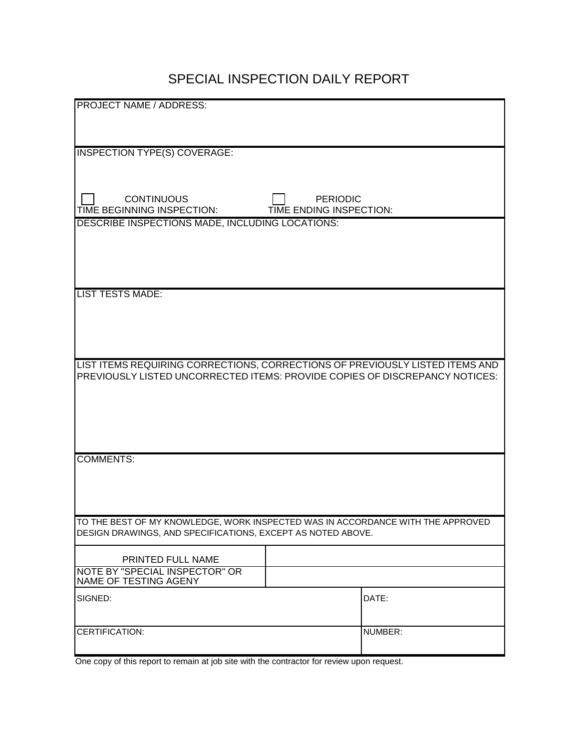#### SPECIAL INSPECTION DAILY REPORT

| <b>PROJECT NAME / ADDRESS:</b>                                                  |         |
|---------------------------------------------------------------------------------|---------|
|                                                                                 |         |
|                                                                                 |         |
| <b>INSPECTION TYPE(S) COVERAGE:</b>                                             |         |
|                                                                                 |         |
|                                                                                 |         |
|                                                                                 |         |
| <b>CONTINUOUS</b><br><b>PERIODIC</b>                                            |         |
| TIME BEGINNING INSPECTION:<br>TIME ENDING INSPECTION:                           |         |
| DESCRIBE INSPECTIONS MADE, INCLUDING LOCATIONS:                                 |         |
|                                                                                 |         |
|                                                                                 |         |
|                                                                                 |         |
|                                                                                 |         |
| <b>LIST TESTS MADE:</b>                                                         |         |
|                                                                                 |         |
|                                                                                 |         |
|                                                                                 |         |
|                                                                                 |         |
| LIST ITEMS REQUIRING CORRECTIONS, CORRECTIONS OF PREVIOUSLY LISTED ITEMS AND    |         |
|                                                                                 |         |
| PREVIOUSLY LISTED UNCORRECTED ITEMS: PROVIDE COPIES OF DISCREPANCY NOTICES:     |         |
|                                                                                 |         |
|                                                                                 |         |
|                                                                                 |         |
|                                                                                 |         |
|                                                                                 |         |
| <b>COMMENTS:</b>                                                                |         |
|                                                                                 |         |
|                                                                                 |         |
|                                                                                 |         |
|                                                                                 |         |
| TO THE BEST OF MY KNOWLEDGE, WORK INSPECTED WAS IN ACCORDANCE WITH THE APPROVED |         |
| DESIGN DRAWINGS, AND SPECIFICATIONS, EXCEPT AS NOTED ABOVE.                     |         |
|                                                                                 |         |
| PRINTED FULL NAME                                                               |         |
| NOTE BY "SPECIAL INSPECTOR" OR                                                  |         |
| NAME OF TESTING AGENY                                                           |         |
| SIGNED:                                                                         | DATE:   |
|                                                                                 |         |
| CERTIFICATION:                                                                  | NUMBER: |

One copy of this report to remain at job site with the contractor for review upon request.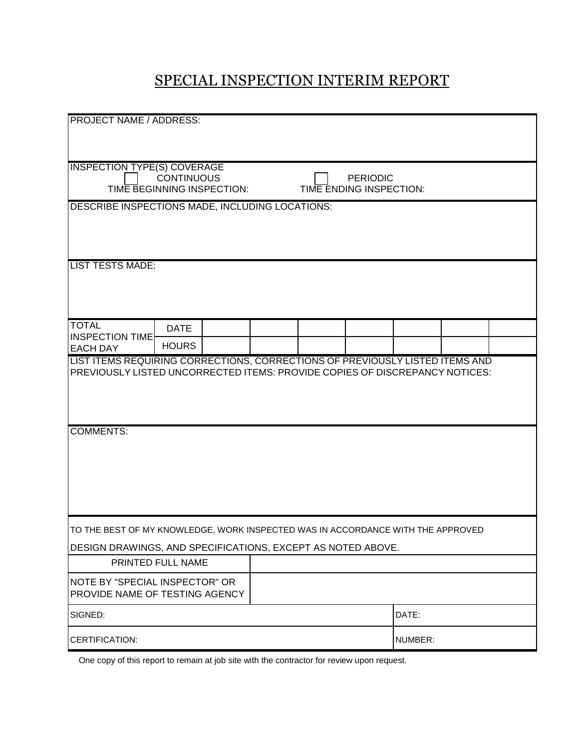### SPECIAL INSPECTION INTERIM REPORT

| <b>PROJECT NAME / ADDRESS:</b>                                                                  |                   |  |                         |         |  |
|-------------------------------------------------------------------------------------------------|-------------------|--|-------------------------|---------|--|
|                                                                                                 |                   |  |                         |         |  |
|                                                                                                 |                   |  |                         |         |  |
| <b>INSPECTION TYPE(S) COVERAGE</b>                                                              |                   |  |                         |         |  |
|                                                                                                 | <b>CONTINUOUS</b> |  | <b>PERIODIC</b>         |         |  |
| TIME BEGINNING INSPECTION:                                                                      |                   |  | TIME ENDING INSPECTION: |         |  |
| DESCRIBE INSPECTIONS MADE, INCLUDING LOCATIONS:                                                 |                   |  |                         |         |  |
|                                                                                                 |                   |  |                         |         |  |
|                                                                                                 |                   |  |                         |         |  |
| <b>LIST TESTS MADE:</b>                                                                         |                   |  |                         |         |  |
|                                                                                                 |                   |  |                         |         |  |
|                                                                                                 |                   |  |                         |         |  |
|                                                                                                 |                   |  |                         |         |  |
| <b>TOTAL</b>                                                                                    | <b>DATE</b>       |  |                         |         |  |
| <b>INSPECTION TIME</b>                                                                          | <b>HOURS</b>      |  |                         |         |  |
| <b>EACH DAY</b><br>LIST ITEMS REQUIRING CORRECTIONS, CORRECTIONS OF PREVIOUSLY LISTED ITEMS AND |                   |  |                         |         |  |
| PREVIOUSLY LISTED UNCORRECTED ITEMS: PROVIDE COPIES OF DISCREPANCY NOTICES:                     |                   |  |                         |         |  |
|                                                                                                 |                   |  |                         |         |  |
|                                                                                                 |                   |  |                         |         |  |
|                                                                                                 |                   |  |                         |         |  |
| <b>COMMENTS:</b>                                                                                |                   |  |                         |         |  |
|                                                                                                 |                   |  |                         |         |  |
|                                                                                                 |                   |  |                         |         |  |
|                                                                                                 |                   |  |                         |         |  |
|                                                                                                 |                   |  |                         |         |  |
|                                                                                                 |                   |  |                         |         |  |
| TO THE BEST OF MY KNOWLEDGE, WORK INSPECTED WAS IN ACCORDANCE WITH THE APPROVED                 |                   |  |                         |         |  |
| DESIGN DRAWINGS, AND SPECIFICATIONS, EXCEPT AS NOTED ABOVE.                                     |                   |  |                         |         |  |
|                                                                                                 | PRINTED FULL NAME |  |                         |         |  |
|                                                                                                 |                   |  |                         |         |  |
| <b>NOTE BY "SPECIAL INSPECTOR" OR</b><br>PROVIDE NAME OF TESTING AGENCY                         |                   |  |                         |         |  |
|                                                                                                 |                   |  |                         |         |  |
| SIGNED:                                                                                         |                   |  |                         | DATE:   |  |
| CERTIFICATION:                                                                                  |                   |  |                         | NUMBER: |  |

One copy of this report to remain at job site with the contractor for review upon request.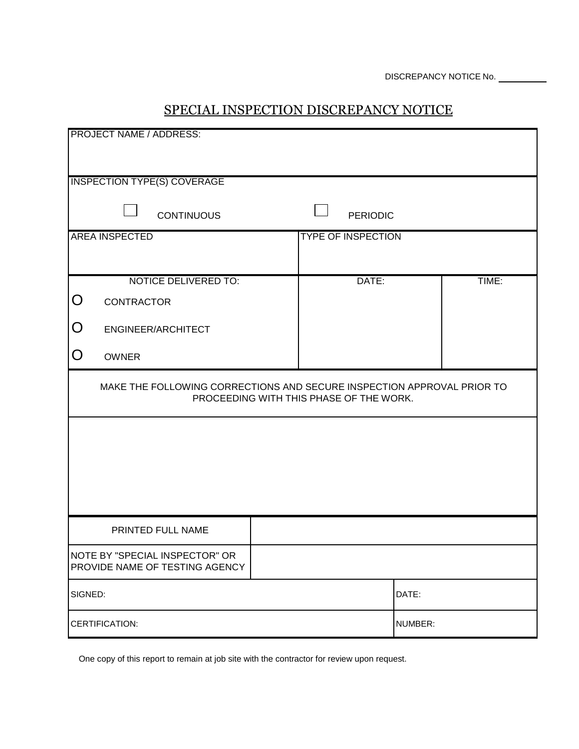#### SPECIAL INSPECTION DISCREPANCY NOTICE

| <b>PROJECT NAME / ADDRESS:</b>                                                                                    |  |                           |         |       |
|-------------------------------------------------------------------------------------------------------------------|--|---------------------------|---------|-------|
|                                                                                                                   |  |                           |         |       |
| <b>INSPECTION TYPE(S) COVERAGE</b>                                                                                |  |                           |         |       |
| <b>CONTINUOUS</b>                                                                                                 |  | <b>PERIODIC</b>           |         |       |
| <b>AREA INSPECTED</b>                                                                                             |  | <b>TYPE OF INSPECTION</b> |         |       |
|                                                                                                                   |  |                           |         |       |
| <b>NOTICE DELIVERED TO:</b><br>O                                                                                  |  | DATE:                     |         | TIME: |
| <b>CONTRACTOR</b>                                                                                                 |  |                           |         |       |
| O<br>ENGINEER/ARCHITECT                                                                                           |  |                           |         |       |
| O<br><b>OWNER</b>                                                                                                 |  |                           |         |       |
| MAKE THE FOLLOWING CORRECTIONS AND SECURE INSPECTION APPROVAL PRIOR TO<br>PROCEEDING WITH THIS PHASE OF THE WORK. |  |                           |         |       |
|                                                                                                                   |  |                           |         |       |
|                                                                                                                   |  |                           |         |       |
|                                                                                                                   |  |                           |         |       |
|                                                                                                                   |  |                           |         |       |
| PRINTED FULL NAME                                                                                                 |  |                           |         |       |
| NOTE BY "SPECIAL INSPECTOR" OR<br>PROVIDE NAME OF TESTING AGENCY                                                  |  |                           |         |       |
| SIGNED:                                                                                                           |  |                           | DATE:   |       |
| CERTIFICATION:                                                                                                    |  |                           | NUMBER: |       |

One copy of this report to remain at job site with the contractor for review upon request.